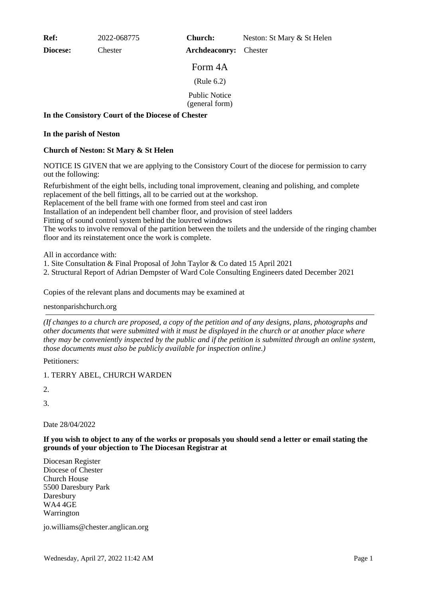**Ref:** 2022-068775

**Diocese:** Chester

**Church:** Neston: St Mary & St Helen

**Archdeaconry:** Chester

Form 4A

(Rule 6.2)

Public Notice

(general form)

## **In the Consistory Court of the Diocese of Chester**

### **In the parish of Neston**

# **Church of Neston: St Mary & St Helen**

NOTICE IS GIVEN that we are applying to the Consistory Court of the diocese for permission to carry out the following:

Refurbishment of the eight bells, including tonal improvement, cleaning and polishing, and complete replacement of the bell fittings, all to be carried out at the workshop.

Replacement of the bell frame with one formed from steel and cast iron

Installation of an independent bell chamber floor, and provision of steel ladders

Fitting of sound control system behind the louvred windows

The works to involve removal of the partition between the toilets and the underside of the ringing chamber floor and its reinstatement once the work is complete.

All in accordance with:

- 1. Site Consultation & Final Proposal of John Taylor & Co dated 15 April 2021
- 2. Structural Report of Adrian Dempster of Ward Cole Consulting Engineers dated December 2021

Copies of the relevant plans and documents may be examined at

# nestonparishchurch.org

*(If changes to a church are proposed, a copy of the petition and of any designs, plans, photographs and other documents that were submitted with it must be displayed in the church or at another place where they may be conveniently inspected by the public and if the petition is submitted through an online system, those documents must also be publicly available for inspection online.)*

Petitioners:

1. TERRY ABEL, CHURCH WARDEN

2.

3.

Date 28/04/2022

### **If you wish to object to any of the works or proposals you should send a letter or email stating the grounds of your objection to The Diocesan Registrar at**

Diocesan Register Diocese of Chester Church House 5500 Daresbury Park Daresbury WA4 4GE Warrington

jo.williams@chester.anglican.org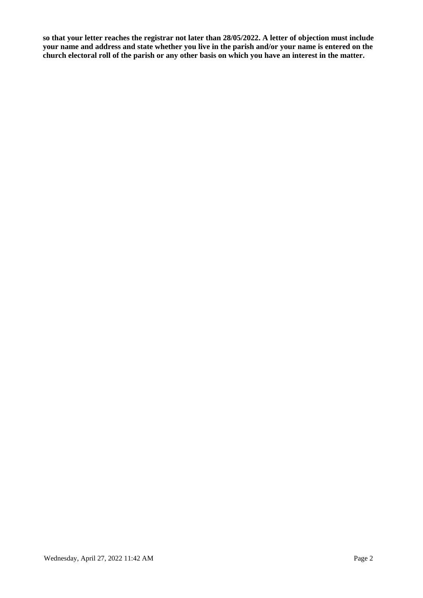**so that your letter reaches the registrar not later than 28/05/2022. A letter of objection must include your name and address and state whether you live in the parish and/or your name is entered on the church electoral roll of the parish or any other basis on which you have an interest in the matter.**